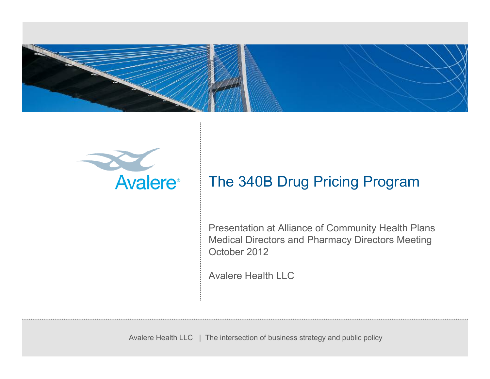



### The 340B Drug Pricing Program

Presentation at Alliance of Community Health Plans Medical Directors and Pharmacy Directors Meeting October 2012

Avalere Health LLC

Avalere Health LLC | The intersection of business strategy and public policy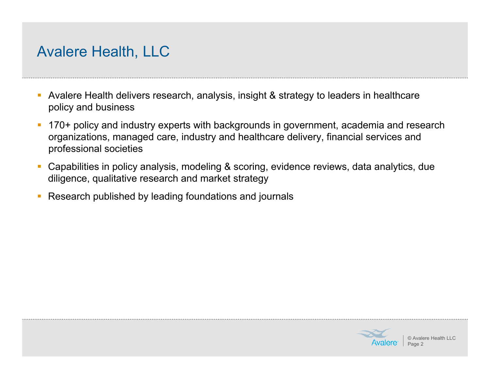## Avalere Health, LLC

- I. Avalere Health delivers research, analysis, insight & strategy to leaders in healthcare policy and business
- $\mathbb{R}^2$  170+ policy and industry experts with backgrounds in government, academia and research organizations, managed care, industry and healthcare delivery, financial services and professional societies
- $\mathbb{R}^n$  Capabilities in policy analysis, modeling & scoring, evidence reviews, data analytics, due diligence, qualitative research and market strategy
- Г Research published by leading foundations and journals

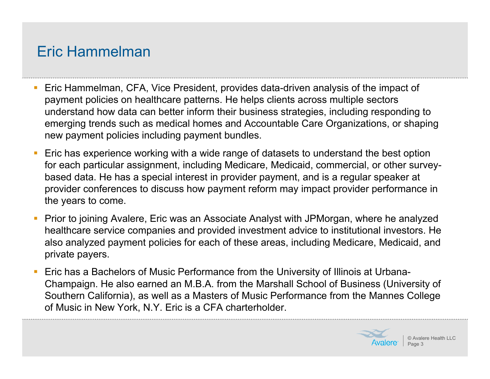## Eric Hammelman

- Eric Hammelman, CFA, Vice President, provides data-driven analysis of the impact of payment policies on healthcare patterns. He helps clients across multiple sectors understand how data can better inform their business strategies, including responding to emerging trends such as medical homes and Accountable Care Organizations, or shaping new payment policies including payment bundles.
- L Eric has experience working with a wide range of datasets to understand the best option for each particular assignment, including Medicare, Medicaid, commercial, or other surveybased data. He has a special interest in provider payment, and is a regular speaker at provider conferences to discuss how payment reform may impact provider performance in the years to come.
- L Prior to joining Avalere, Eric was an Associate Analyst with JPMorgan, where he analyzed healthcare service companies and provided investment advice to institutional investors. He also analyzed payment policies for each of these areas, including Medicare, Medicaid, and private payers.
- Г Eric has a Bachelors of Music Performance from the University of Illinois at Urbana-Champaign. He also earned an M.B.A. from the Marshall School of Business (University of Southern California), as well as a Masters of Music Performance from the Mannes College of Music in New York, N.Y. Eric is a CFA charterholder.

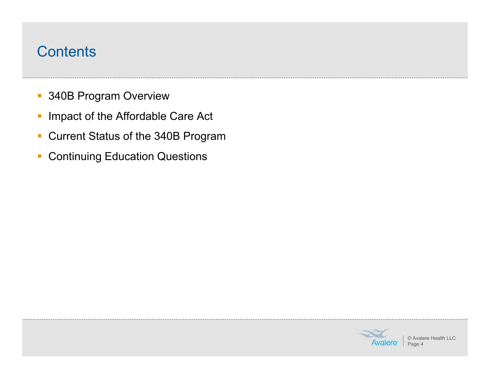### **Contents**

- 340B Program Overview
- $\mathbb{R}^2$ Impact of the Affordable Care Act
- Current Status of the 340B Program
- **Continuing Education Questions**

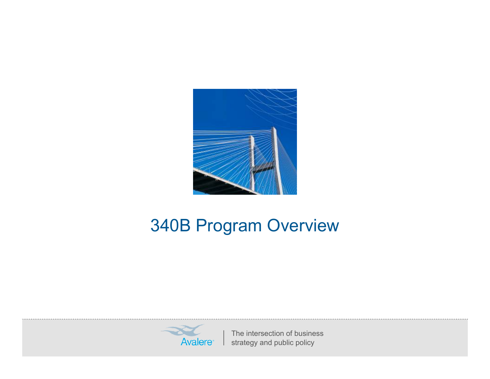

## 340B Program Overview



The intersection of business **Strategy and public policy**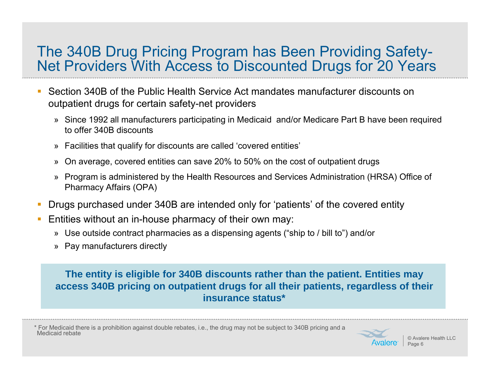### The 340B Drug Pricing Program has Been Providing Safety-Net Providers With Access to Discounted Drugs for 20 Years

- $\mathbb{R}^n$  Section 340B of the Public Health Service Act mandates manufacturer discounts on outpatient drugs for certain safety-net providers
	- » Since 1992 all manufacturers participating in Medicaid and/or Medicare Part B have been required to offer 340B discounts
	- » Facilities that qualify for discounts are called 'covered entities'
	- » On average, covered entities can save 20% to 50% on the cost of outpatient drugs
	- » Program is administered by the Health Resources and Services Administration (HRSA) Office of Pharmacy Affairs (OPA)
- Drugs purchased under 340B are intended only for 'patients' of the covered entity
- Entities without an in-house pharmacy of their own may:
	- » Use outside contract pharmacies as a dispensing agents ("ship to / bill to") and/or
	- » Pay manufacturers directly

**The entity is eligible for 340B discounts rather than the patient. Entities may access 340B pricing on outpatient drugs for all their patients, regardless of their insurance status\***

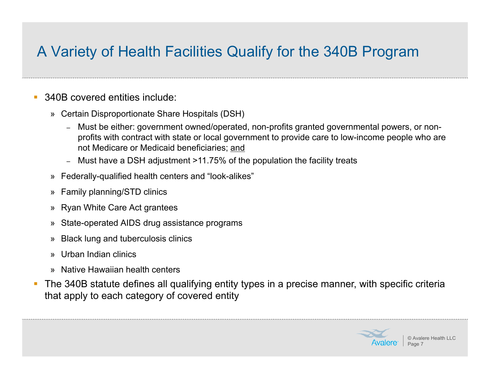## A Variety of Health Facilities Qualify for the 340B Program

- 340B covered entities include:
	- » Certain Disproportionate Share Hospitals (DSH)
		- Must be either: government owned/operated, non-profits granted governmental powers, or nonprofits with contract with state or local government to provide care to low-income people who are not Medicare or Medicaid beneficiaries; and
		- Must have a DSH adjustment >11.75% of the population the facility treats
	- » Federally-qualified health centers and "look-alikes"
	- » Family planning/STD clinics
	- » Ryan White Care Act grantees
	- »State-operated AIDS drug assistance programs
	- » Black lung and tuberculosis clinics
	- » Urban Indian clinics
	- » Native Hawaiian health centers
- The 340B statute defines all qualifying entity types in a precise manner, with specific criteria that apply to each category of covered entity

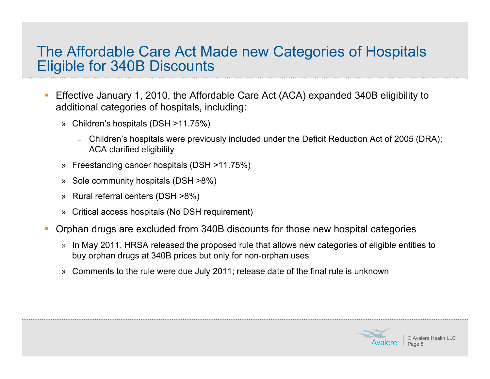#### The Affordable Care Act Made new Categories of Hospitals Eligible for 340B Discounts

- Effective January 1, 2010, the Affordable Care Act (ACA) expanded 340B eligibility to additional categories of hospitals, including:
	- » Children's hospitals (DSH >11.75%)
		- Children's hospitals were previously included under the Deficit Reduction Act of 2005 (DRA); ACA clarified eligibility
	- » Freestanding cancer hospitals (DSH >11.75%)
	- » Sole community hospitals (DSH >8%)
	- » Rural referral centers (DSH >8%)
	- » Critical access hospitals (No DSH requirement)
- Orphan drugs are excluded from 340B discounts for those new hospital categories
	- » In May 2011, HRSA released the proposed rule that allows new categories of eligible entities to buy orphan drugs at 340B prices but only for non-orphan uses
	- » Comments to the rule were due July 2011; release date of the final rule is unknown

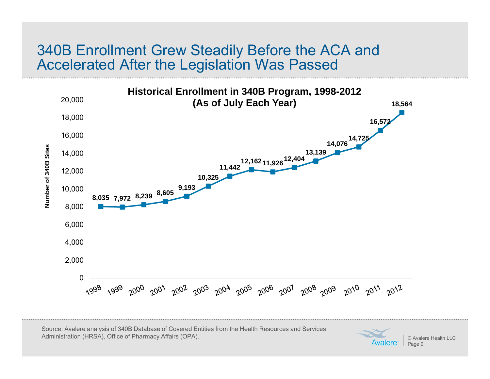#### 340B Enrollment Grew Steadily Before the ACA and Accelerated After the Legislation Was Passed



Source: Avalere analysis of 340B Database of Covered Entities from the Health Resources and Services Administration (HRSA), Office of Pharmacy Affairs (OPA).

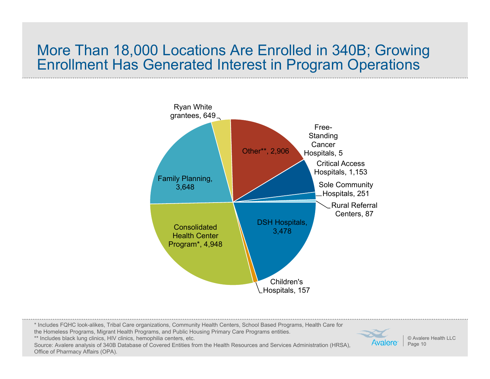#### More Than 18,000 Locations Are Enrolled in 340B; Growing Enrollment Has Generated Interest in Program Operations



\* Includes FQHC look-alikes, Tribal Care organizations, Community Health Centers, School Based Programs, Health Care for the Homeless Programs, Migrant Health Programs, and Public Housing Primary Care Programs entities.

\*\* Includes black lung clinics, HIV clinics, hemophilia centers, etc.

Source: Avalere analysis of 340B Database of Covered Entities from the Health Resources and Services Administration (HRSA), Office of Pharmacy Affairs (OPA).



© Avalere Health LLCPage 10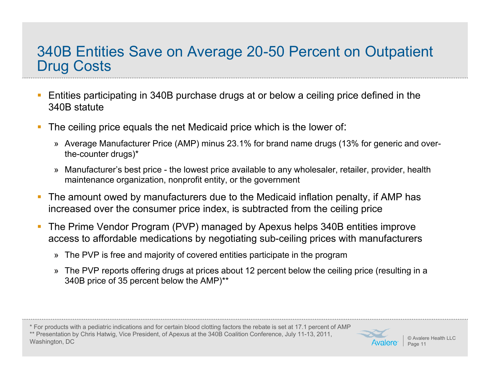### 340B Entities Save on Average 20-50 Percent on Outpatient Drug Costs

- Entities participating in 340B purchase drugs at or below a ceiling price defined in the 340B statute
- The ceiling price equals the net Medicaid price which is the lower of:
	- » Average Manufacturer Price (AMP) minus 23.1% for brand name drugs (13% for generic and overthe-counter drugs)\*
	- » Manufacturer's best price the lowest price available to any wholesaler, retailer, provider, health maintenance organization, nonprofit entity, or the government
- I. The amount owed by manufacturers due to the Medicaid inflation penalty, if AMP has increased over the consumer price index, is subtracted from the ceiling price
- T, The Prime Vendor Program (PVP) managed by Apexus helps 340B entities improve access to affordable medications by negotiating sub-ceiling prices with manufacturers
	- » The PVP is free and majority of covered entities participate in the program
	- » The PVP reports offering drugs at prices about 12 percent below the ceiling price (resulting in a 340B price of 35 percent below the AMP)\*\*

\* For products with a pediatric indications and for certain blood clotting factors the rebate is set at 17.1 percent of AMP \*\* Presentation by Chris Hatwig, Vice President, of Apexus at the 340B Coalition Conference, July 11-13, 2011, Washington, DC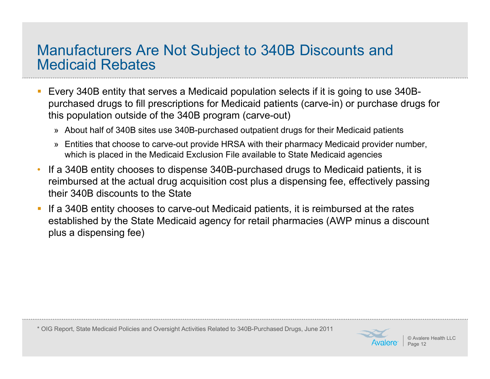#### Manufacturers Are Not Subject to 340B Discounts and Medicaid Rebates

- Every 340B entity that serves a Medicaid population selects if it is going to use 340Bpurchased drugs to fill prescriptions for Medicaid patients (carve-in) or purchase drugs for this population outside of the 340B program (carve-out)
	- » About half of 340B sites use 340B-purchased outpatient drugs for their Medicaid patients
	- » Entities that choose to carve-out provide HRSA with their pharmacy Medicaid provider number, which is placed in the Medicaid Exclusion File available to State Medicaid agencies
- • If a 340B entity chooses to dispense 340B-purchased drugs to Medicaid patients, it is reimbursed at the actual drug acquisition cost plus a dispensing fee, effectively passing their 340B discounts to the State
- L If a 340B entity chooses to carve-out Medicaid patients, it is reimbursed at the rates established by the State Medicaid agency for retail pharmacies (AWP minus a discount plus a dispensing fee)

\* OIG Report, State Medicaid Policies and Oversight Activities Related to 340B-Purchased Drugs, June 2011

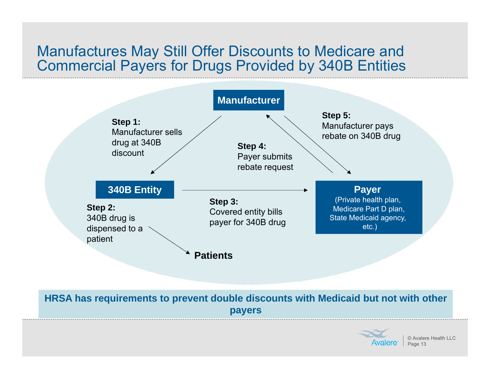#### Manufactures May Still Offer Discounts to Medicare and Commercial Payers for Drugs Provided by 340B Entities



HRSA has requirements to prevent double discounts with Medicaid but not with other **payers**

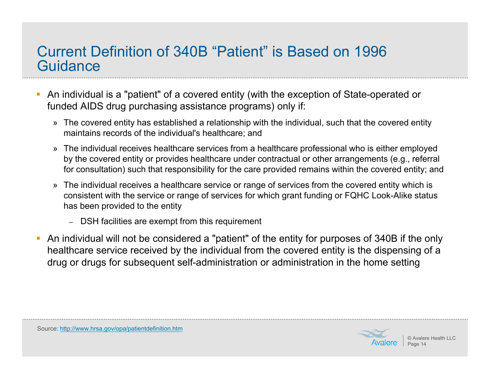#### Current Definition of 340B "Patient" is Based on 1996 **Guidance**

- An individual is a "patient" of a covered entity (with the exception of State-operated or funded AIDS drug purchasing assistance programs) only if:
	- » The covered entity has established a relationship with the individual, such that the covered entity maintains records of the individual's healthcare; and
	- » The individual receives healthcare services from a healthcare professional who is either employed by the covered entity or provides healthcare under contractual or other arrangements (e.g., referral for consultation) such that responsibility for the care provided remains within the covered entity; and
	- » The individual receives a healthcare service or range of services from the covered entity which is consistent with the service or range of services for which grant funding or FQHC Look-Alike status has been provided to the entity
		- DSH facilities are exempt from this requirement
- L An individual will not be considered a "patient" of the entity for purposes of 340B if the only healthcare service received by the individual from the covered entity is the dispensing of a drug or drugs for subsequent self-administration or administration in the home setting



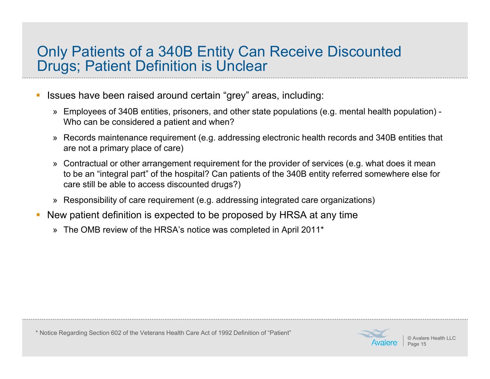#### Only Patients of a 340B Entity Can Receive Discounted Drugs; Patient Definition is Unclear

- Issues have been raised around certain "grey" areas, including:
	- » Employees of 340B entities, prisoners, and other state populations (e.g. mental health population) Who can be considered a patient and when?
	- » Records maintenance requirement (e.g. addressing electronic health records and 340B entities that are not a primary place of care)
	- » Contractual or other arrangement requirement for the provider of services (e.g. what does it mean to be an "integral part" of the hospital? Can patients of the 340B entity referred somewhere else for care still be able to access discounted drugs?)
	- » Responsibility of care requirement (e.g. addressing integrated care organizations)
- Г New patient definition is expected to be proposed by HRSA at any time
	- » The OMB review of the HRSA's notice was completed in April 2011\*

\* Notice Regarding Section 602 of the Veterans Health Care Act of 1992 Definition of "Patient"

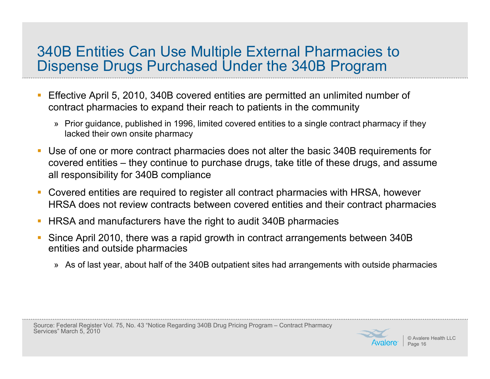#### 340B Entities Can Use Multiple External Pharmacies to Dispense Drugs Purchased Under the 340B Program

- Effective April 5, 2010, 340B covered entities are permitted an unlimited number of contract pharmacies to expand their reach to patients in the community
	- » Prior guidance, published in 1996, limited covered entities to a single contract pharmacy if they lacked their own onsite pharmacy
- T, Use of one or more contract pharmacies does not alter the basic 340B requirements for covered entities – they continue to purchase drugs, take title of these drugs, and assume all responsibility for 340B compliance
- $\mathbb{R}^n$  Covered entities are required to register all contract pharmacies with HRSA, however HRSA does not review contracts between covered entities and their contract pharmacies
- $\mathcal{C}$ HRSA and manufacturers have the right to audit 340B pharmacies
- $\mathcal{C}$  Since April 2010, there was a rapid growth in contract arrangements between 340B entities and outside pharmacies
	- » As of last year, about half of the 340B outpatient sites had arrangements with outside pharmacies

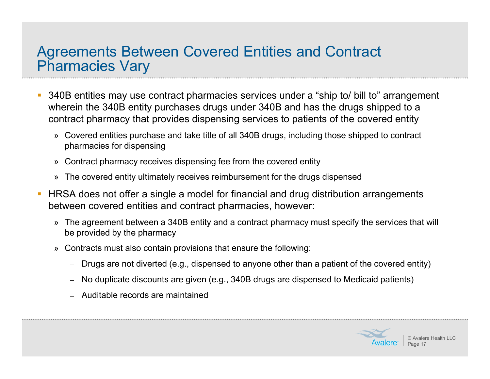#### Agreements Between Covered Entities and Contract Pharmacies Vary

- 340B entities may use contract pharmacies services under a "ship to/ bill to" arrangement wherein the 340B entity purchases drugs under 340B and has the drugs shipped to a contract pharmacy that provides dispensing services to patients of the covered entity
	- » Covered entities purchase and take title of all 340B drugs, including those shipped to contract pharmacies for dispensing
	- » Contract pharmacy receives dispensing fee from the covered entity
	- » The covered entity ultimately receives reimbursement for the drugs dispensed
- T, HRSA does not offer a single a model for financial and drug distribution arrangements between covered entities and contract pharmacies, however:
	- » The agreement between a 340B entity and a contract pharmacy must specify the services that will be provided by the pharmacy
	- » Contracts must also contain provisions that ensure the following:
		- Drugs are not diverted (e.g., dispensed to anyone other than a patient of the covered entity)
		- No duplicate discounts are given (e.g., 340B drugs are dispensed to Medicaid patients)
		- Auditable records are maintained

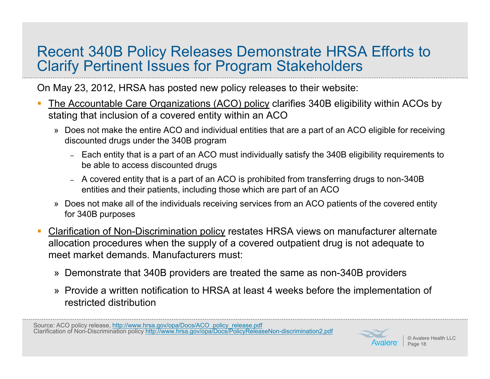### Recent 340B Policy Releases Demonstrate HRSA Efforts to Clarify Pertinent Issues for Program Stakeholders

On May 23, 2012, HRSA has posted new policy releases to their website:

- Г The Accountable Care Organizations (ACO) policy clarifies 340B eligibility within ACOs by stating that inclusion of a covered entity within an ACO
	- » Does not make the entire ACO and individual entities that are a part of an ACO eligible for receiving discounted drugs under the 340B program
		- ‒ Each entity that is a part of an ACO must individually satisfy the 340B eligibility requirements to be able to access discounted drugs
		- ‒ A covered entity that is a part of an ACO is prohibited from transferring drugs to non-340B entities and their patients, including those which are part of an ACO
	- » Does not make all of the individuals receiving services from an ACO patients of the covered entity for 340B purposes
- Clarification of Non-Discrimination policy restates HRSA views on manufacturer alternate allocation procedures when the supply of a covered outpatient drug is not adequate to meet market demands. Manufacturers must:
	- » Demonstrate that 340B providers are treated the same as non-340B providers
	- » Provide a written notification to HRSA at least 4 weeks before the implementation of restricted distribution



Source: ACO policy release, [http://www.hrsa.gov/opa/Docs/ACO\\_policy\\_release.pdf](http://www.hrsa.gov/opa/Docs/ACO_policy_release.pdf) Clarification of Non-Discrimination policy<http://www.hrsa.gov/opa/Docs/PolicyReleaseNon-discrimination2.pdf>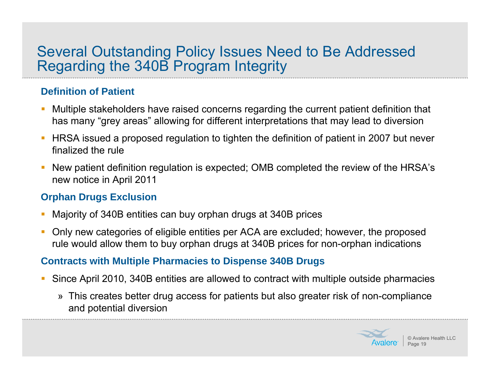#### Several Outstanding Policy Issues Need to Be Addressed Regarding the 340B Program Integrity

#### **Definition of Patient**

- Г Multiple stakeholders have raised concerns regarding the current patient definition that has many "grey areas" allowing for different interpretations that may lead to diversion
- L HRSA issued a proposed regulation to tighten the definition of patient in 2007 but never finalized the rule
- New patient definition regulation is expected; OMB completed the review of the HRSA's new notice in April 2011

#### **Orphan Drugs Exclusion**

- Г Majority of 340B entities can buy orphan drugs at 340B prices
- Only new categories of eligible entities per ACA are excluded; however, the proposed rule would allow them to buy orphan drugs at 340B prices for non-orphan indications

#### **Contracts with Multiple Pharmacies to Dispense 340B Drugs**

- Since April 2010, 340B entities are allowed to contract with multiple outside pharmacies
	- » This creates better drug access for patients but also greater risk of non-compliance and potential diversion

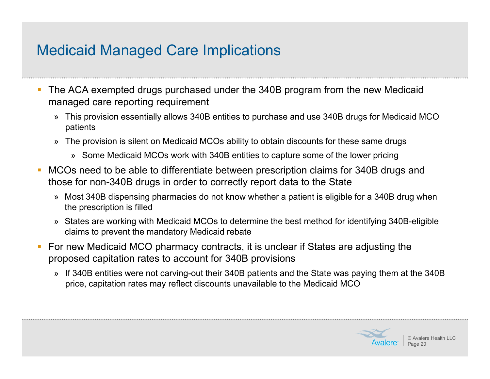## Medicaid Managed Care Implications

- $\mathcal{L}_{\mathcal{A}}$  The ACA exempted drugs purchased under the 340B program from the new Medicaid managed care reporting requirement
	- » This provision essentially allows 340B entities to purchase and use 340B drugs for Medicaid MCO patients
	- » The provision is silent on Medicaid MCOs ability to obtain discounts for these same drugs
		- » Some Medicaid MCOs work with 340B entities to capture some of the lower pricing
- MCOs need to be able to differentiate between prescription claims for 340B drugs and those for non-340B drugs in order to correctly report data to the State
	- » Most 340B dispensing pharmacies do not know whether a patient is eligible for a 340B drug when the prescription is filled
	- » States are working with Medicaid MCOs to determine the best method for identifying 340B-eligible claims to prevent the mandatory Medicaid rebate
- For new Medicaid MCO pharmacy contracts, it is unclear if States are adjusting the proposed capitation rates to account for 340B provisions
	- » If 340B entities were not carving-out their 340B patients and the State was paying them at the 340B price, capitation rates may reflect discounts unavailable to the Medicaid MCO

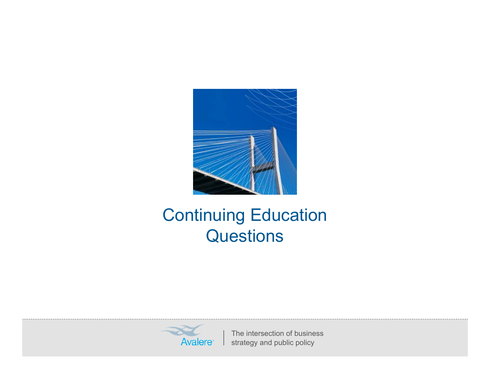

# Continuing Education **Questions**